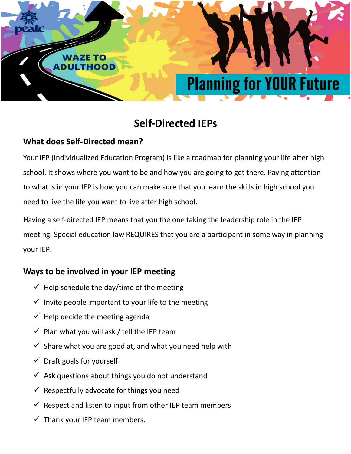

# **Self-Directed IEPs**

# **What does Self-Directed mean?**

Your IEP (Individualized Education Program) is like a roadmap for planning your life after high school. It shows where you want to be and how you are going to get there. Paying attention to what is in your IEP is how you can make sure that you learn the skills in high school you need to live the life you want to live after high school.

Having a self-directed IEP means that you the one taking the leadership role in the IEP meeting. Special education law REQUIRES that you are a participant in some way in planning your IEP**.** 

# **Ways to be involved in your IEP meeting**

- $\checkmark$  Help schedule the day/time of the meeting
- $\checkmark$  Invite people important to your life to the meeting
- $\checkmark$  Help decide the meeting agenda
- $\checkmark$  Plan what you will ask / tell the IEP team
- $\checkmark$  Share what you are good at, and what you need help with
- $\checkmark$  Draft goals for yourself
- $\checkmark$  Ask questions about things you do not understand
- $\checkmark$  Respectfully advocate for things you need
- $\checkmark$  Respect and listen to input from other IEP team members
- $\checkmark$  Thank your IEP team members.